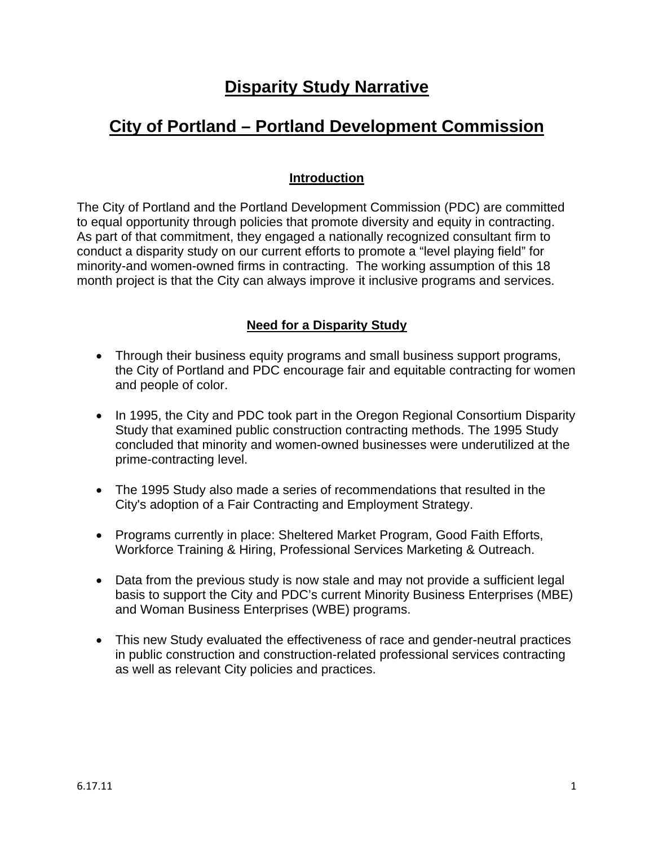# **Disparity Study Narrative**

# **City of Portland – Portland Development Commission**

## **Introduction**

The City of Portland and the Portland Development Commission (PDC) are committed to equal opportunity through policies that promote diversity and equity in contracting. As part of that commitment, they engaged a nationally recognized consultant firm to conduct a disparity study on our current efforts to promote a "level playing field" for minority-and women-owned firms in contracting. The working assumption of this 18 month project is that the City can always improve it inclusive programs and services.

# **Need for a Disparity Study**

- Through their business equity programs and small business support programs, the City of Portland and PDC encourage fair and equitable contracting for women and people of color.
- In 1995, the City and PDC took part in the Oregon Regional Consortium Disparity Study that examined public construction contracting methods. The 1995 Study concluded that minority and women-owned businesses were underutilized at the prime-contracting level.
- The 1995 Study also made a series of recommendations that resulted in the City's adoption of a Fair Contracting and Employment Strategy.
- Programs currently in place: Sheltered Market Program, Good Faith Efforts, Workforce Training & Hiring, Professional Services Marketing & Outreach.
- Data from the previous study is now stale and may not provide a sufficient legal basis to support the City and PDC's current Minority Business Enterprises (MBE) and Woman Business Enterprises (WBE) programs.
- This new Study evaluated the effectiveness of race and gender-neutral practices in public construction and construction-related professional services contracting as well as relevant City policies and practices.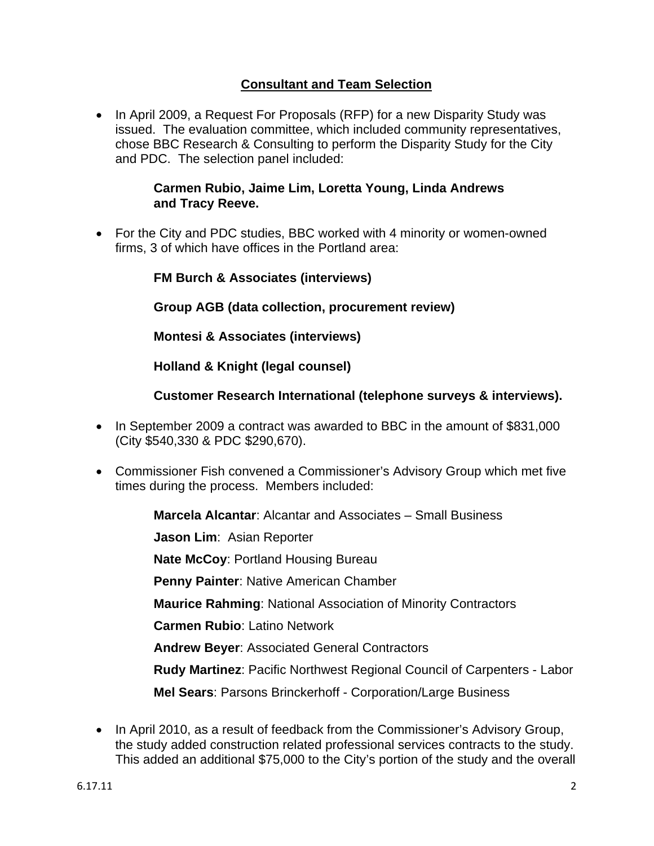## **Consultant and Team Selection**

• In April 2009, a Request For Proposals (RFP) for a new Disparity Study was issued. The evaluation committee, which included community representatives, chose BBC Research & Consulting to perform the Disparity Study for the City and PDC. The selection panel included:

#### **Carmen Rubio, Jaime Lim, Loretta Young, Linda Andrews and Tracy Reeve.**

• For the City and PDC studies, BBC worked with 4 minority or women-owned firms, 3 of which have offices in the Portland area:

**Group AGB (data collection, procurement review)** 

**Montesi & Associates (interviews)** 

**Holland & Knight (legal counsel)** 

### **Customer Research International (telephone surveys & interviews).**

- In September 2009 a contract was awarded to BBC in the amount of \$831,000 (City \$540,330 & PDC \$290,670).
- Commissioner Fish convened a Commissioner's Advisory Group which met five times during the process. Members included:

**Marcela Alcantar**: Alcantar and Associates – Small Business

**Jason Lim**: Asian Reporter

**Nate McCoy**: Portland Housing Bureau

**Penny Painter**: Native American Chamber

**Maurice Rahming**: National Association of Minority Contractors

**Carmen Rubio**: Latino Network

**Andrew Beyer**: Associated General Contractors

**Rudy Martinez**: Pacific Northwest Regional Council of Carpenters - Labor

**Mel Sears**: Parsons Brinckerhoff - Corporation/Large Business

• In April 2010, as a result of feedback from the Commissioner's Advisory Group, the study added construction related professional services contracts to the study. This added an additional \$75,000 to the City's portion of the study and the overall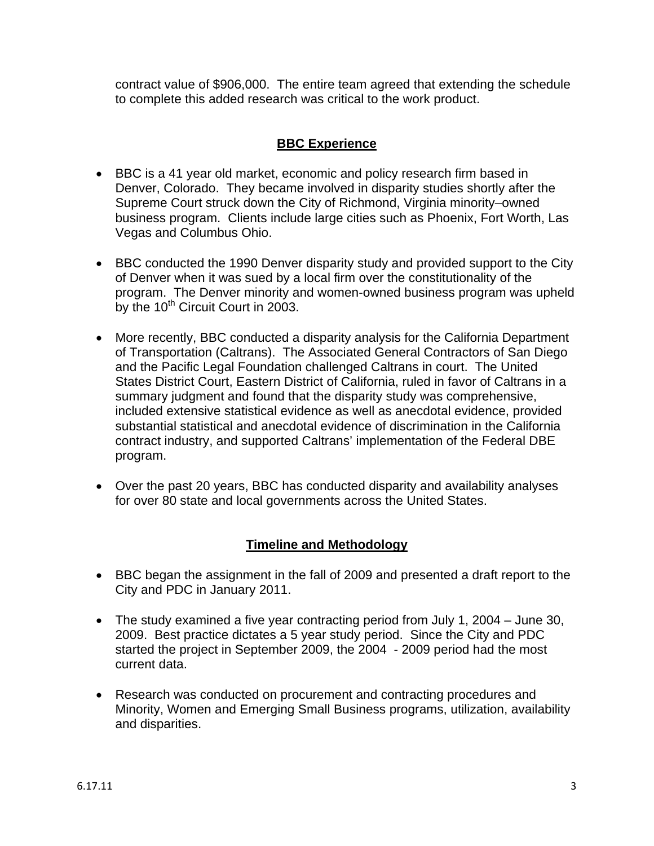contract value of \$906,000. The entire team agreed that extending the schedule to complete this added research was critical to the work product.

# **BBC Experience**

- BBC is a 41 year old market, economic and policy research firm based in Denver, Colorado. They became involved in disparity studies shortly after the Supreme Court struck down the City of Richmond, Virginia minority–owned business program. Clients include large cities such as Phoenix, Fort Worth, Las Vegas and Columbus Ohio.
- BBC conducted the 1990 Denver disparity study and provided support to the City of Denver when it was sued by a local firm over the constitutionality of the program. The Denver minority and women-owned business program was upheld by the  $10^{th}$  Circuit Court in 2003.
- More recently, BBC conducted a disparity analysis for the California Department of Transportation (Caltrans). The Associated General Contractors of San Diego and the Pacific Legal Foundation challenged Caltrans in court. The United States District Court, Eastern District of California, ruled in favor of Caltrans in a summary judgment and found that the disparity study was comprehensive, included extensive statistical evidence as well as anecdotal evidence, provided substantial statistical and anecdotal evidence of discrimination in the California contract industry, and supported Caltrans' implementation of the Federal DBE program.
- Over the past 20 years, BBC has conducted disparity and availability analyses for over 80 state and local governments across the United States.

# **Timeline and Methodology**

- BBC began the assignment in the fall of 2009 and presented a draft report to the City and PDC in January 2011.
- The study examined a five year contracting period from July 1, 2004 June 30, 2009. Best practice dictates a 5 year study period. Since the City and PDC started the project in September 2009, the 2004 - 2009 period had the most current data.
- Research was conducted on procurement and contracting procedures and Minority, Women and Emerging Small Business programs, utilization, availability and disparities.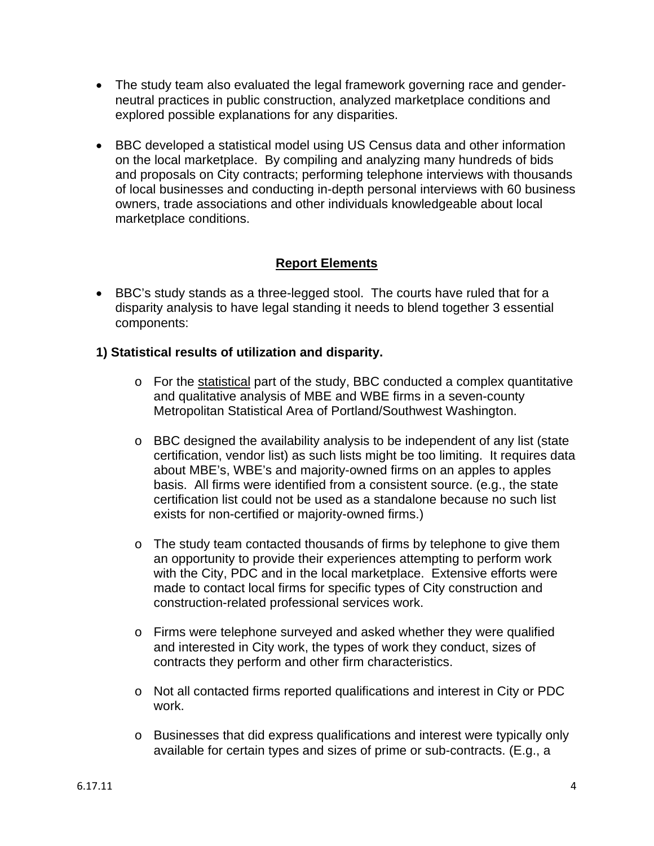- The study team also evaluated the legal framework governing race and genderneutral practices in public construction, analyzed marketplace conditions and explored possible explanations for any disparities.
- BBC developed a statistical model using US Census data and other information on the local marketplace. By compiling and analyzing many hundreds of bids and proposals on City contracts; performing telephone interviews with thousands of local businesses and conducting in-depth personal interviews with 60 business owners, trade associations and other individuals knowledgeable about local marketplace conditions.

# **Report Elements**

• BBC's study stands as a three-legged stool. The courts have ruled that for a disparity analysis to have legal standing it needs to blend together 3 essential components:

# **1) Statistical results of utilization and disparity.**

- o For the statistical part of the study, BBC conducted a complex quantitative and qualitative analysis of MBE and WBE firms in a seven-county Metropolitan Statistical Area of Portland/Southwest Washington.
- o BBC designed the availability analysis to be independent of any list (state certification, vendor list) as such lists might be too limiting. It requires data about MBE's, WBE's and majority-owned firms on an apples to apples basis. All firms were identified from a consistent source. (e.g., the state certification list could not be used as a standalone because no such list exists for non-certified or majority-owned firms.)
- $\circ$  The study team contacted thousands of firms by telephone to give them an opportunity to provide their experiences attempting to perform work with the City, PDC and in the local marketplace. Extensive efforts were made to contact local firms for specific types of City construction and construction-related professional services work.
- o Firms were telephone surveyed and asked whether they were qualified and interested in City work, the types of work they conduct, sizes of contracts they perform and other firm characteristics.
- o Not all contacted firms reported qualifications and interest in City or PDC work.
- o Businesses that did express qualifications and interest were typically only available for certain types and sizes of prime or sub-contracts. (E.g., a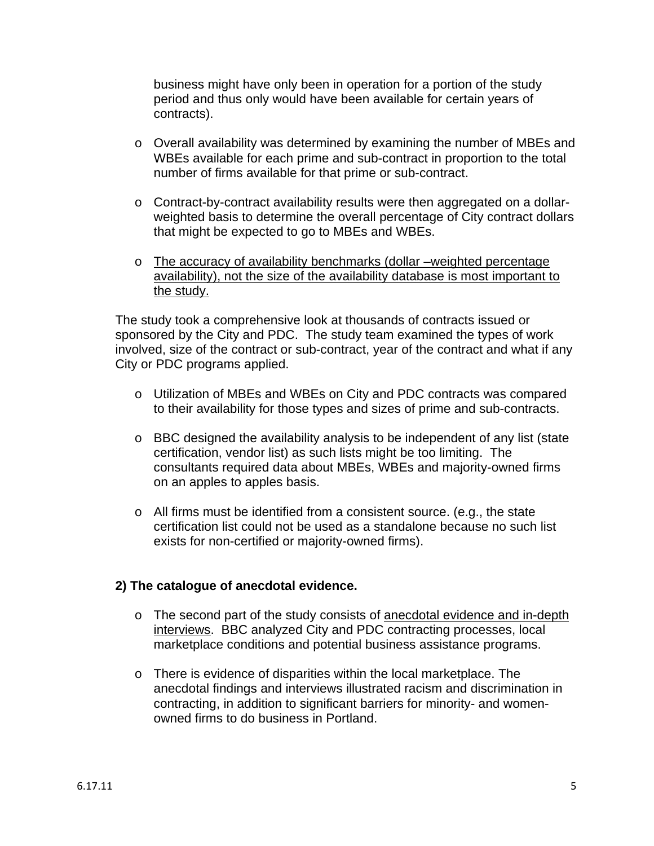business might have only been in operation for a portion of the study period and thus only would have been available for certain years of contracts).

- o Overall availability was determined by examining the number of MBEs and WBEs available for each prime and sub-contract in proportion to the total number of firms available for that prime or sub-contract.
- o Contract-by-contract availability results were then aggregated on a dollarweighted basis to determine the overall percentage of City contract dollars that might be expected to go to MBEs and WBEs.
- o The accuracy of availability benchmarks (dollar –weighted percentage availability), not the size of the availability database is most important to the study.

The study took a comprehensive look at thousands of contracts issued or sponsored by the City and PDC. The study team examined the types of work involved, size of the contract or sub-contract, year of the contract and what if any City or PDC programs applied.

- o Utilization of MBEs and WBEs on City and PDC contracts was compared to their availability for those types and sizes of prime and sub-contracts.
- o BBC designed the availability analysis to be independent of any list (state certification, vendor list) as such lists might be too limiting. The consultants required data about MBEs, WBEs and majority-owned firms on an apples to apples basis.
- o All firms must be identified from a consistent source. (e.g., the state certification list could not be used as a standalone because no such list exists for non-certified or majority-owned firms).

### **2) The catalogue of anecdotal evidence.**

- o The second part of the study consists of anecdotal evidence and in-depth interviews. BBC analyzed City and PDC contracting processes, local marketplace conditions and potential business assistance programs.
- o There is evidence of disparities within the local marketplace. The anecdotal findings and interviews illustrated racism and discrimination in contracting, in addition to significant barriers for minority- and womenowned firms to do business in Portland.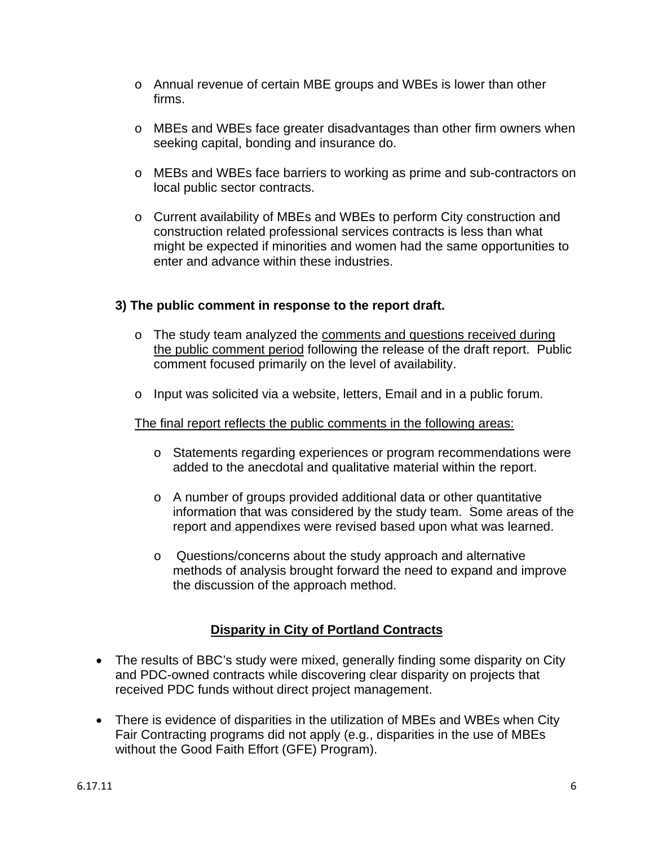- o Annual revenue of certain MBE groups and WBEs is lower than other firms.
- o MBEs and WBEs face greater disadvantages than other firm owners when seeking capital, bonding and insurance do.
- o MEBs and WBEs face barriers to working as prime and sub-contractors on local public sector contracts.
- o Current availability of MBEs and WBEs to perform City construction and construction related professional services contracts is less than what might be expected if minorities and women had the same opportunities to enter and advance within these industries.

### **3) The public comment in response to the report draft.**

- o The study team analyzed the comments and questions received during the public comment period following the release of the draft report. Public comment focused primarily on the level of availability.
- o Input was solicited via a website, letters, Email and in a public forum.

### The final report reflects the public comments in the following areas:

- o Statements regarding experiences or program recommendations were added to the anecdotal and qualitative material within the report.
- o A number of groups provided additional data or other quantitative information that was considered by the study team. Some areas of the report and appendixes were revised based upon what was learned.
- o Questions/concerns about the study approach and alternative methods of analysis brought forward the need to expand and improve the discussion of the approach method.

# **Disparity in City of Portland Contracts**

- The results of BBC's study were mixed, generally finding some disparity on City and PDC-owned contracts while discovering clear disparity on projects that received PDC funds without direct project management.
- There is evidence of disparities in the utilization of MBEs and WBEs when City Fair Contracting programs did not apply (e.g., disparities in the use of MBEs without the Good Faith Effort (GFE) Program).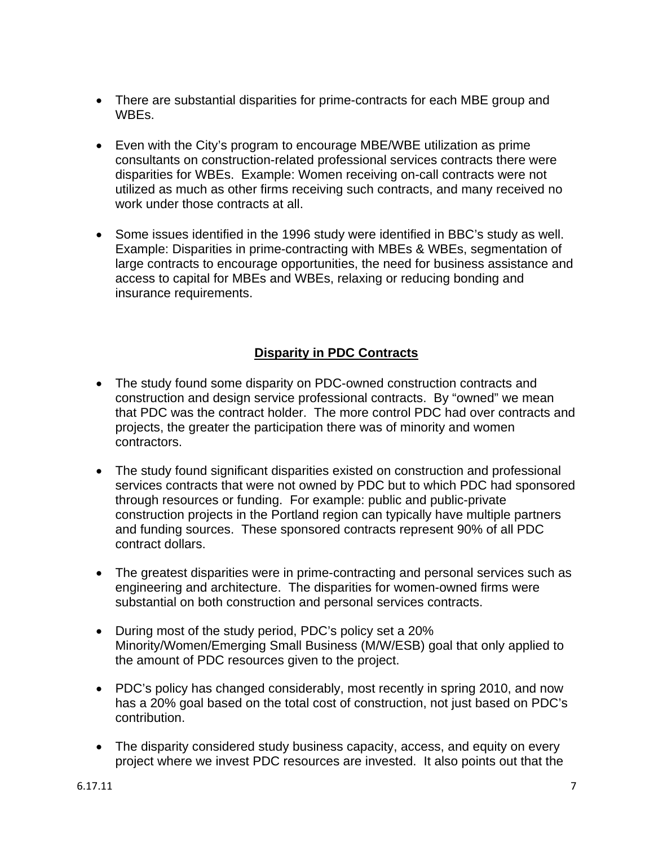- There are substantial disparities for prime-contracts for each MBE group and WBEs.
- Even with the City's program to encourage MBE/WBE utilization as prime consultants on construction-related professional services contracts there were disparities for WBEs. Example: Women receiving on-call contracts were not utilized as much as other firms receiving such contracts, and many received no work under those contracts at all.
- Some issues identified in the 1996 study were identified in BBC's study as well. Example: Disparities in prime-contracting with MBEs & WBEs, segmentation of large contracts to encourage opportunities, the need for business assistance and access to capital for MBEs and WBEs, relaxing or reducing bonding and insurance requirements.

# **Disparity in PDC Contracts**

- The study found some disparity on PDC-owned construction contracts and construction and design service professional contracts. By "owned" we mean that PDC was the contract holder. The more control PDC had over contracts and projects, the greater the participation there was of minority and women contractors.
- The study found significant disparities existed on construction and professional services contracts that were not owned by PDC but to which PDC had sponsored through resources or funding. For example: public and public-private construction projects in the Portland region can typically have multiple partners and funding sources. These sponsored contracts represent 90% of all PDC contract dollars.
- The greatest disparities were in prime-contracting and personal services such as engineering and architecture. The disparities for women-owned firms were substantial on both construction and personal services contracts.
- During most of the study period, PDC's policy set a 20% Minority/Women/Emerging Small Business (M/W/ESB) goal that only applied to the amount of PDC resources given to the project.
- PDC's policy has changed considerably, most recently in spring 2010, and now has a 20% goal based on the total cost of construction, not just based on PDC's contribution.
- The disparity considered study business capacity, access, and equity on every project where we invest PDC resources are invested. It also points out that the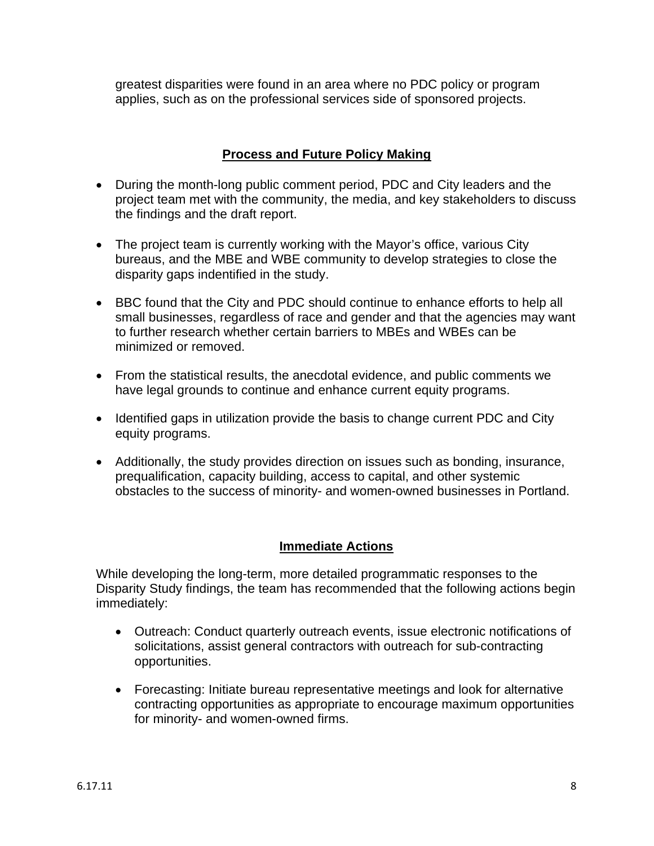greatest disparities were found in an area where no PDC policy or program applies, such as on the professional services side of sponsored projects.

# **Process and Future Policy Making**

- During the month-long public comment period, PDC and City leaders and the project team met with the community, the media, and key stakeholders to discuss the findings and the draft report.
- The project team is currently working with the Mayor's office, various City bureaus, and the MBE and WBE community to develop strategies to close the disparity gaps indentified in the study.
- BBC found that the City and PDC should continue to enhance efforts to help all small businesses, regardless of race and gender and that the agencies may want to further research whether certain barriers to MBEs and WBEs can be minimized or removed.
- From the statistical results, the anecdotal evidence, and public comments we have legal grounds to continue and enhance current equity programs.
- Identified gaps in utilization provide the basis to change current PDC and City equity programs.
- Additionally, the study provides direction on issues such as bonding, insurance, prequalification, capacity building, access to capital, and other systemic obstacles to the success of minority- and women-owned businesses in Portland.

# **Immediate Actions**

While developing the long-term, more detailed programmatic responses to the Disparity Study findings, the team has recommended that the following actions begin immediately:

- Outreach: Conduct quarterly outreach events, issue electronic notifications of solicitations, assist general contractors with outreach for sub-contracting opportunities.
- Forecasting: Initiate bureau representative meetings and look for alternative contracting opportunities as appropriate to encourage maximum opportunities for minority- and women-owned firms.